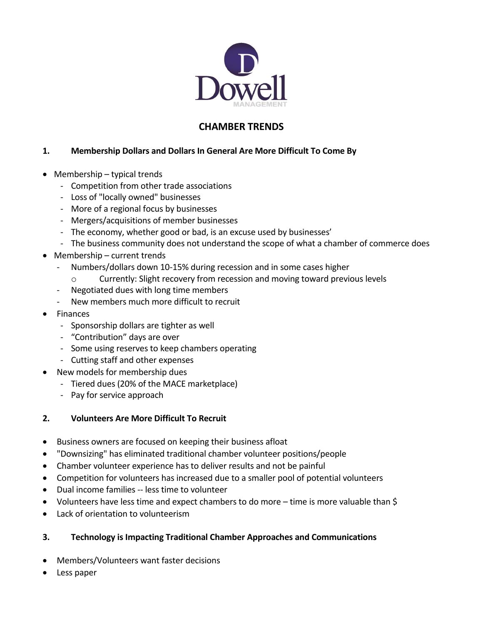

# **CHAMBER TRENDS**

# **1. Membership Dollars and Dollars In General Are More Difficult To Come By**

- Membership typical trends
	- Competition from other trade associations
	- Loss of "locally owned" businesses
	- More of a regional focus by businesses
	- Mergers/acquisitions of member businesses
	- The economy, whether good or bad, is an excuse used by businesses'
	- The business community does not understand the scope of what a chamber of commerce does
- Membership current trends
	- Numbers/dollars down 10-15% during recession and in some cases higher
		- o Currently: Slight recovery from recession and moving toward previous levels
	- Negotiated dues with long time members
	- New members much more difficult to recruit
- Finances
	- Sponsorship dollars are tighter as well
	- "Contribution" days are over
	- Some using reserves to keep chambers operating
	- Cutting staff and other expenses
- New models for membership dues
	- Tiered dues (20% of the MACE marketplace)
	- Pay for service approach

# **2. Volunteers Are More Difficult To Recruit**

- Business owners are focused on keeping their business afloat
- "Downsizing" has eliminated traditional chamber volunteer positions/people
- Chamber volunteer experience has to deliver results and not be painful
- Competition for volunteers has increased due to a smaller pool of potential volunteers
- Dual income families -- less time to volunteer
- Volunteers have less time and expect chambers to do more time is more valuable than \$
- Lack of orientation to volunteerism

# **3. Technology is Impacting Traditional Chamber Approaches and Communications**

- Members/Volunteers want faster decisions
- Less paper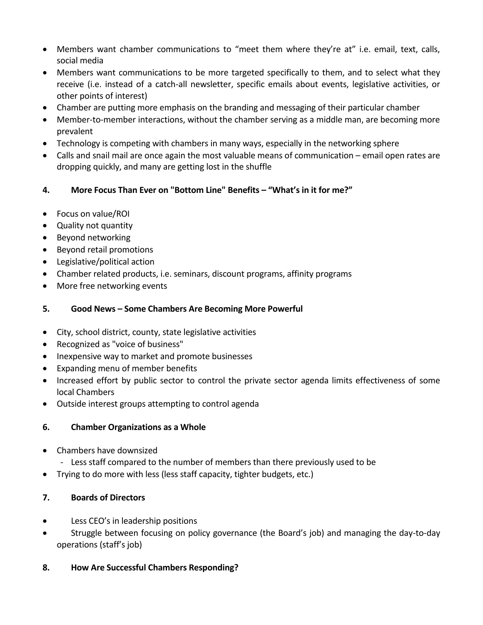- Members want chamber communications to "meet them where they're at" i.e. email, text, calls, social media
- Members want communications to be more targeted specifically to them, and to select what they receive (i.e. instead of a catch-all newsletter, specific emails about events, legislative activities, or other points of interest)
- Chamber are putting more emphasis on the branding and messaging of their particular chamber
- Member-to-member interactions, without the chamber serving as a middle man, are becoming more prevalent
- Technology is competing with chambers in many ways, especially in the networking sphere
- Calls and snail mail are once again the most valuable means of communication email open rates are dropping quickly, and many are getting lost in the shuffle
- **4. More Focus Than Ever on "Bottom Line" Benefits – "What's in it for me?"**
- Focus on value/ROI
- Quality not quantity
- Beyond networking
- Beyond retail promotions
- Legislative/political action
- Chamber related products, i.e. seminars, discount programs, affinity programs
- More free networking events

#### **5. Good News – Some Chambers Are Becoming More Powerful**

- City, school district, county, state legislative activities
- Recognized as "voice of business"
- Inexpensive way to market and promote businesses
- Expanding menu of member benefits
- Increased effort by public sector to control the private sector agenda limits effectiveness of some local Chambers
- Outside interest groups attempting to control agenda

## **6. Chamber Organizations as a Whole**

- Chambers have downsized
	- Less staff compared to the number of members than there previously used to be
- Trying to do more with less (less staff capacity, tighter budgets, etc.)

## **7. Boards of Directors**

- Less CEO's in leadership positions
- Struggle between focusing on policy governance (the Board's job) and managing the day-to-day operations (staff's job)

## **8. How Are Successful Chambers Responding?**